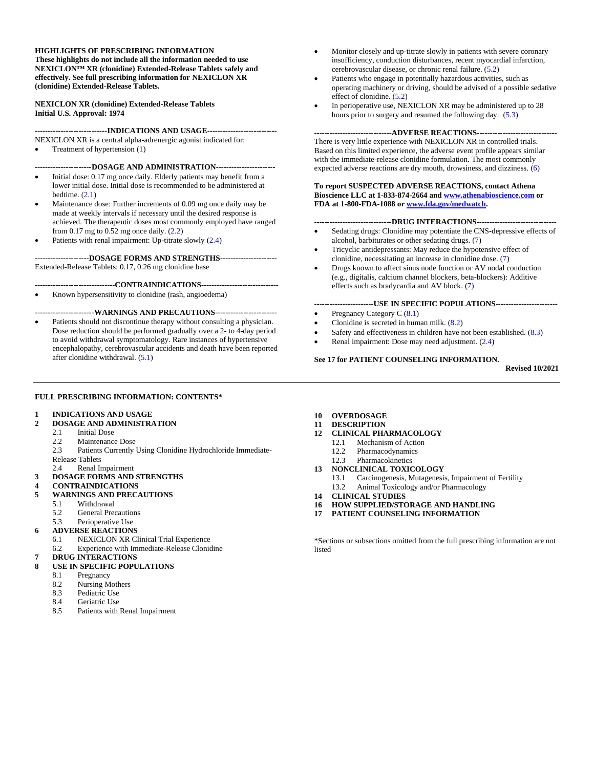### **HIGHLIGHTS OF PRESCRIBING INFORMATION**

**These highlights do not include all the information needed to use NEXICLON™ XR (clonidine) Extended-Release Tablets safely and effectively. See full prescribing information for NEXICLON XR (clonidine) Extended-Release Tablets.**

### **NEXICLON XR (clonidine) Extended-Release Tablets Initial U.S. Approval: 1974**

**----------------------------INDICATIONS AND USAGE---------------------------** NEXICLON XR is a central alpha-adrenergic agonist indicated for:

• Treatment of hypertension (1)

**----------------------DOSAGE AND ADMINISTRATION-----------------------**

- Initial dose: 0.17 mg once daily. Elderly patients may benefit from a lower initial dose. Initial dose is recommended to be administered at bedtime.  $(2.1)$
- Maintenance dose: Further increments of 0.09 mg once daily may be made at weekly intervals if necessary until the desired response is achieved. The therapeutic doses most commonly employed have ranged from  $0.17$  mg to  $0.52$  mg once daily.  $(2.2)$
- Patients with renal impairment: Up-titrate slowly  $(2.4)$

#### **---------------------DOSAGE FORMS AND STRENGTHS----------------------** Extended-Release Tablets: 0.17, 0.26 mg clonidine base

### **-------------------------------CONTRAINDICATIONS------------------------------**

• Known hypersensitivity to clonidine (rash, angioedema)

### **-----------------------WARNINGS AND PRECAUTIONS------------------------**

Patients should not discontinue therapy without consulting a physician. Dose reduction should be performed gradually over a 2- to 4-day period to avoid withdrawal symptomatology. Rare instances of hypertensive encephalopathy, cerebrovascular accidents and death have been reported after clonidine withdrawal. (5.1)

- Monitor closely and up-titrate slowly in patients with severe coronary insufficiency, conduction disturbances, recent myocardial infarction, cerebrovascular disease, or chronic renal failure. (5.2)
- Patients who engage in potentially hazardous activities, such as operating machinery or driving, should be advised of a possible sedative effect of clonidine. (5.2)
- In perioperative use, NEXICLON XR may be administered up to 28 hours prior to surgery and resumed the following day. (5.3)

# **------------------------------ADVERSE REACTIONS-------------------------------**

There is very little experience with NEXICLON XR in controlled trials. Based on this limited experience, the adverse event profile appears similar with the immediate-release clonidine formulation. The most commonly expected adverse reactions are dry mouth, drowsiness, and dizziness. (6)

#### **To report SUSPECTED ADVERSE REACTIONS, contact Athena Bioscience LLC at 1-833-874-2664 an[d www.athenabioscience.com](http://www.athenabioscience.com/) or FDA at 1-800-FDA-1088 o[r www.fda.gov/medwatch.](http://www.fda.gov/medwatch)**

### **------------------------------DRUG INTERACTIONS-------------------------------**

- Sedating drugs: Clonidine may potentiate the CNS-depressive effects of alcohol, barbiturates or other sedating drugs. (7)
- Tricyclic antidepressants: May reduce the hypotensive effect of clonidine, necessitating an increase in clonidine dose. (7)
- Drugs known to affect sinus node function or AV nodal conduction (e.g., digitalis, calcium channel blockers, beta-blockers): Additive effects such as bradycardia and AV block. (7)

### **-----------------------USE IN SPECIFIC POPULATIONS------------------------**

- Pregnancy Category C (8.1)
- Clonidine is secreted in human milk. (8.2)
- Safety and effectiveness in children have not been established. (8.3)
- Renal impairment: Dose may need adjustment. (2.4)

### **See 17 for PATIENT COUNSELING INFORMATION.**

**Revised 10/2021**

## **FULL PRESCRIBING INFORMATION: CONTENTS\***

### **1 [INDICATIONS AND USAGE](#page-1-0)**

- **2 [DOSAGE AND ADMINISTRATION](#page-1-1)**
	- 2.1 [Initial Dose](#page-1-2)<br>2.2 Maintenance
	- [Maintenance Dose](#page-1-3)
	- 2.3 Patients Currently [Using Clonidine Hydrochloride Immediate-](#page-1-4)[Release Tablets](#page-1-4)
	- 2.4 [Renal Impairment](#page-1-5)
- **3 [DOSAGE FORMS AND STRENGTHS](#page-1-6)**
- **4 [CONTRAINDICATIONS](#page-1-7)**
- **5 [WARNINGS AND PRECAUTIONS](#page-1-8)**
	- 5.1 [Withdrawal](#page-1-9)
	- 5.2 [General Precautions](#page-1-10)
	- 5.3 [Perioperative Use](#page-1-11)
- **6 [ADVERSE REACTIONS](#page-1-12)**
	- 6.1 [NEXICLON XR Clinical Trial Experience](#page-1-13)
	- 6.2 [Experience with Immediate-Release Clonidine](#page-1-14)
	- **7 [DRUG INTERACTIONS](#page-2-0)**

# **8 [USE IN SPECIFIC POPULATIONS](#page-2-1)**

- 8.1 [Pregnancy](#page-2-2)
- 8.2 [Nursing Mothers](#page-2-3)
- 
- 8.3 [Pediatric Use](#page-2-4)<br>8.4 Geriatric Use [Geriatric Use](#page-2-5)
- 8.5 [Patients with Renal Impairment](#page-2-6)
- **10 [OVERDOSAGE](#page-2-7)**
- **11 [DESCRIPTION](#page-2-8)**
- **12 [CLINICAL PHARMACOLOGY](#page-2-9)**
	- 12.1 [Mechanism of Action](#page-2-10)<br>12.2 Pharmacodynamics
	- 12.2 [Pharmacodynamics](#page-2-11)
	- 12.3 [Pharmacokinetics](#page-3-0)
- **13 [NONCLINICAL TOXICOLOGY](#page-3-1)**
	- 13.1 [Carcinogenesis, Mutagenesis, Impairment of Fertility](#page-3-2)
		- 13.2 [Animal Toxicology and/or Pharmacology](#page-3-3)
- **14 [CLINICAL STUDIES](#page-3-4)**
- **16 [HOW SUPPLIED/STORAGE AND HANDLING](#page-3-5)**
- **17 [PATIENT COUNSELING INFORMATION](#page-3-6)**

\*Sections or subsections omitted from the full prescribing information are not listed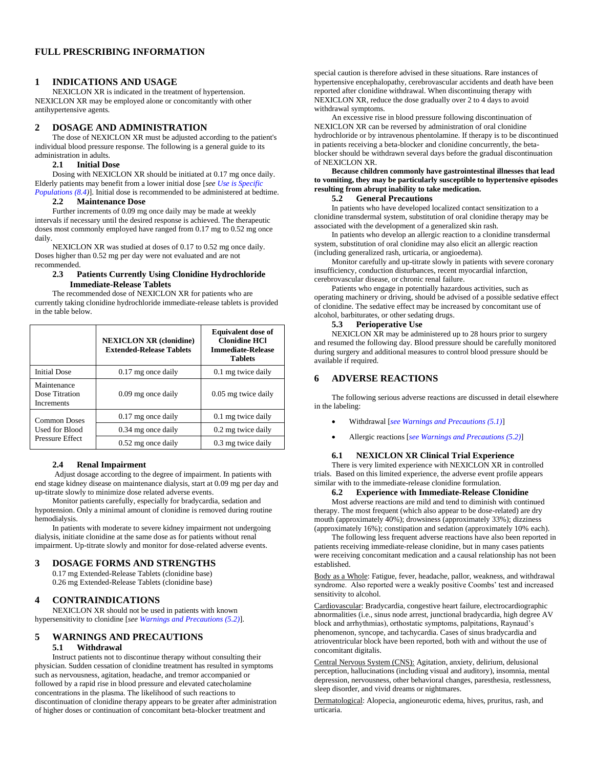## **FULL PRESCRIBING INFORMATION**

### <span id="page-1-0"></span>**1 INDICATIONS AND USAGE**

NEXICLON XR is indicated in the treatment of hypertension. NEXICLON XR may be employed alone or concomitantly with other antihypertensive agents.

### <span id="page-1-1"></span>**2 DOSAGE AND ADMINISTRATION**

The dose of NEXICLON XR must be adjusted according to the patient's individual blood pressure response. The following is a general guide to its administration in adults.

### **2.1 Initial Dose**

<span id="page-1-2"></span>Dosing with NEXICLON XR should be initiated at 0.17 mg once daily. Elderly patients may benefit from a lower initial dose [*see Use is Specific Populations* (8.4)]. Initial dose is recommended to be administered at bedtime.

### **2.2 Maintenance Dose**

<span id="page-1-3"></span>Further increments of 0.09 mg once daily may be made at weekly intervals if necessary until the desired response is achieved. The therapeutic doses most commonly employed have ranged from 0.17 mg to 0.52 mg once daily.

NEXICLON XR was studied at doses of 0.17 to 0.52 mg once daily. Doses higher than 0.52 mg per day were not evaluated and are not recommended.

### <span id="page-1-4"></span>**2.3 Patients Currently Using Clonidine Hydrochloride Immediate-Release Tablets**

The recommended dose of NEXICLON XR for patients who are currently taking clonidine hydrochloride immediate-release tablets is provided in the table below.

|                                                          | <b>Equivalent dose of</b><br><b>NEXICLON XR (clonidine)</b><br><b>Clonidine HCl</b><br><b>Extended-Release Tablets</b><br><b>Immediate-Release</b><br><b>Tablets</b> |                     |
|----------------------------------------------------------|----------------------------------------------------------------------------------------------------------------------------------------------------------------------|---------------------|
| <b>Initial Dose</b>                                      | $0.17$ mg once daily                                                                                                                                                 | 0.1 mg twice daily  |
| Maintenance<br>Dose Titration<br><b>Increments</b>       | 0.09 mg once daily                                                                                                                                                   | 0.05 mg twice daily |
| Common Doses<br>Used for Blood<br><b>Pressure Effect</b> | $0.17$ mg once daily                                                                                                                                                 | 0.1 mg twice daily  |
|                                                          | 0.34 mg once daily                                                                                                                                                   | 0.2 mg twice daily  |
|                                                          | $0.52$ mg once daily                                                                                                                                                 | 0.3 mg twice daily  |

#### **2.4 Renal Impairment**

<span id="page-1-5"></span>Adjust dosage according to the degree of impairment. In patients with end stage kidney disease on maintenance dialysis, start at 0.09 mg per day and up-titrate slowly to minimize dose related adverse events.

Monitor patients carefully, especially for bradycardia, sedation and hypotension. Only a minimal amount of clonidine is removed during routine hemodialysis.

In patients with moderate to severe kidney impairment not undergoing dialysis, initiate clonidine at the same dose as for patients without renal impairment. Up-titrate slowly and monitor for dose-related adverse events.

# <span id="page-1-6"></span>**3 DOSAGE FORMS AND STRENGTHS**

0.17 mg Extended-Release Tablets (clonidine base) 0.26 mg Extended-Release Tablets (clonidine base)

## <span id="page-1-7"></span>**4 CONTRAINDICATIONS**

NEXICLON XR should not be used in patients with known hypersensitivity to clonidine [*see Warnings and Precautions (5.2)*].

## <span id="page-1-9"></span><span id="page-1-8"></span>**5 WARNINGS AND PRECAUTIONS**

### **5.1 Withdrawal**

Instruct patients not to discontinue therapy without consulting their physician. Sudden cessation of clonidine treatment has resulted in symptoms such as nervousness, agitation, headache, and tremor accompanied or followed by a rapid rise in blood pressure and elevated catecholamine concentrations in the plasma. The likelihood of such reactions to discontinuation of clonidine therapy appears to be greater after administration of higher doses or continuation of concomitant beta-blocker treatment and

special caution is therefore advised in these situations. Rare instances of hypertensive encephalopathy, cerebrovascular accidents and death have been reported after clonidine withdrawal. When discontinuing therapy with NEXICLON XR, reduce the dose gradually over 2 to 4 days to avoid withdrawal symptoms.

An excessive rise in blood pressure following discontinuation of NEXICLON XR can be reversed by administration of oral clonidine hydrochloride or by intravenous phentolamine. If therapy is to be discontinued in patients receiving a beta-blocker and clonidine concurrently, the betablocker should be withdrawn several days before the gradual discontinuation of NEXICLON XR.

## **Because children commonly have gastrointestinal illnesses that lead to vomiting, they may be particularly susceptible to hypertensive episodes resulting from abrupt inability to take medication.**

# **5.2 General Precautions**

<span id="page-1-10"></span>In patients who have developed localized contact sensitization to a clonidine transdermal system, substitution of oral clonidine therapy may be associated with the development of a generalized skin rash.

In patients who develop an allergic reaction to a clonidine transdermal system, substitution of oral clonidine may also elicit an allergic reaction (including generalized rash, urticaria, or angioedema).

Monitor carefully and up-titrate slowly in patients with severe coronary insufficiency, conduction disturbances, recent myocardial infarction, cerebrovascular disease, or chronic renal failure.

Patients who engage in potentially hazardous activities, such as operating machinery or driving, should be advised of a possible sedative effect of clonidine. The sedative effect may be increased by concomitant use of alcohol, barbiturates, or other sedating drugs.

#### **5.3 Perioperative Use**

<span id="page-1-11"></span>NEXICLON XR may be administered up to 28 hours prior to surgery and resumed the following day. Blood pressure should be carefully monitored during surgery and additional measures to control blood pressure should be available if required.

## <span id="page-1-12"></span>**6 ADVERSE REACTIONS**

The following serious adverse reactions are discussed in detail elsewhere in the labeling:

- Withdrawal [*see Warnings and Precautions (5.1)*]
- Allergic reactions [*see Warnings and Precautions (5.2)*]

### **6.1 NEXICLON XR Clinical Trial Experience**

<span id="page-1-13"></span>There is very limited experience with NEXICLON XR in controlled trials. Based on this limited experience, the adverse event profile appears similar with to the immediate-release clonidine formulation.

### **6.2 Experience with Immediate-Release Clonidine**

<span id="page-1-14"></span>Most adverse reactions are mild and tend to diminish with continued therapy. The most frequent (which also appear to be dose-related) are dry mouth (approximately 40%); drowsiness (approximately 33%); dizziness (approximately 16%); constipation and sedation (approximately 10% each).

The following less frequent adverse reactions have also been reported in patients receiving immediate-release clonidine, but in many cases patients were receiving concomitant medication and a causal relationship has not been established.

Body as a Whole: Fatigue, fever, headache, pallor, weakness, and withdrawal syndrome. Also reported were a weakly positive Coombs' test and increased sensitivity to alcohol.

Cardiovascular: Bradycardia, congestive heart failure, electrocardiographic abnormalities (i.e., sinus node arrest, junctional bradycardia, high degree AV block and arrhythmias), orthostatic symptoms, palpitations, Raynaud's phenomenon, syncope, and tachycardia. Cases of sinus bradycardia and atrioventricular block have been reported, both with and without the use of concomitant digitalis.

Central Nervous System (CNS): Agitation, anxiety, delirium, delusional perception, hallucinations (including visual and auditory), insomnia, mental depression, nervousness, other behavioral changes, paresthesia, restlessness, sleep disorder, and vivid dreams or nightmares.

Dermatological: Alopecia, angioneurotic edema, hives, pruritus, rash, and urticaria.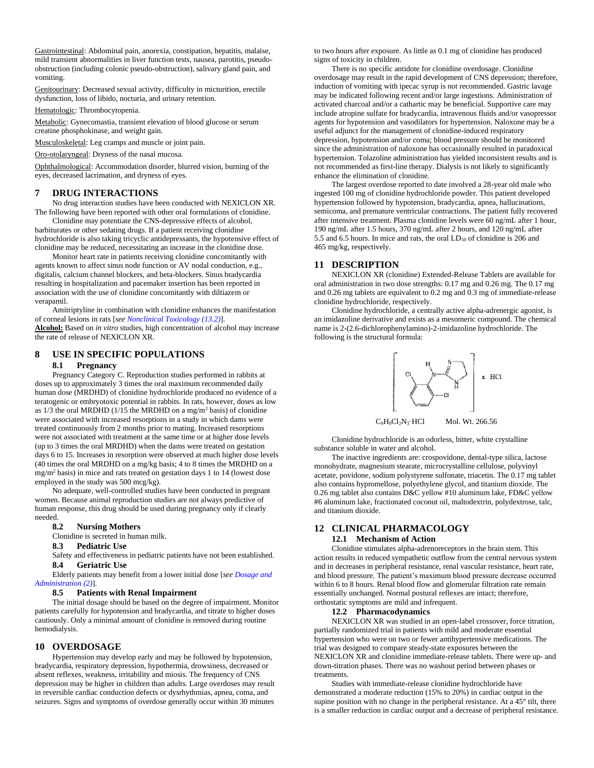Gastrointestinal: Abdominal pain, anorexia, constipation, hepatitis, malaise, mild transient abnormalities in liver function tests, nausea, parotitis, pseudoobstruction (including colonic pseudo-obstruction), salivary gland pain, and vomiting.

Genitourinary: Decreased sexual activity, difficulty in micturition, erectile dysfunction, loss of libido, nocturia, and urinary retention.

Hematologic: Thrombocytopenia.

Metabolic: Gynecomastia, transient elevation of blood glucose or serum creatine phosphokinase, and weight gain.

Musculoskeletal: Leg cramps and muscle or joint pain.

Oro-otolaryngeal: Dryness of the nasal mucosa.

Ophthalmological: Accommodation disorder, blurred vision, burning of the eyes, decreased lacrimation, and dryness of eyes.

## <span id="page-2-0"></span>**7 DRUG INTERACTIONS**

No drug interaction studies have been conducted with NEXICLON XR. The following have been reported with other oral formulations of clonidine.

Clonidine may potentiate the CNS-depressive effects of alcohol, barbiturates or other sedating drugs. If a patient receiving clonidine hydrochloride is also taking tricyclic antidepressants, the hypotensive effect of clonidine may be reduced, necessitating an increase in the clonidine dose.

Monitor heart rate in patients receiving clonidine concomitantly with agents known to affect sinus node function or AV nodal conduction, e.g., digitalis, calcium channel blockers, and beta-blockers. Sinus bradycardia resulting in hospitalization and pacemaker insertion has been reported in association with the use of clonidine concomitantly with diltiazem or verapamil.

Amitriptyline in combination with clonidine enhances the manifestation of corneal lesions in rats [*see Nonclinical Toxicology (13.2)*]. **Alcohol:** Based on *in vitro* studies, high concentration of alcohol may increase the rate of release of NEXICLON XR.

## <span id="page-2-2"></span><span id="page-2-1"></span>**8 USE IN SPECIFIC POPULATIONS**

#### **8.1 Pregnancy**

Pregnancy Category C. Reproduction studies performed in rabbits at doses up to approximately 3 times the oral maximum recommended daily human dose (MRDHD) of clonidine hydrochloride produced no evidence of a teratogenic or embryotoxic potential in rabbits. In rats, however, doses as low as  $1/3$  the oral MRDHD (1/15 the MRDHD on a mg/m<sup>2</sup> basis) of clonidine were associated with increased resorptions in a study in which dams were treated continuously from 2 months prior to mating. Increased resorptions were not associated with treatment at the same time or at higher dose levels (up to 3 times the oral MRDHD) when the dams were treated on gestation days 6 to 15. Increases in resorption were observed at much higher dose levels (40 times the oral MRDHD on a mg/kg basis; 4 to 8 times the MRDHD on a mg/m<sup>2</sup> basis) in mice and rats treated on gestation days 1 to 14 (lowest dose employed in the study was 500 mcg/kg).

No adequate, well-controlled studies have been conducted in pregnant women. Because animal reproduction studies are not always predictive of human response, this drug should be used during pregnancy only if clearly needed.

#### <span id="page-2-3"></span>**8.2 Nursing Mothers**

Clonidine is secreted in human milk.

#### <span id="page-2-4"></span>**8.3 Pediatric Use**

Safety and effectiveness in pediatric patients have not been established. **8.4 Geriatric Use**

<span id="page-2-5"></span>Elderly patients may benefit from a lower initial dose [*see Dosage and Administration (2)*].

#### **8.5 Patients with Renal Impairment**

<span id="page-2-6"></span>The initial dosage should be based on the degree of impairment. Monitor patients carefully for hypotension and bradycardia, and titrate to higher doses cautiously. Only a minimal amount of clonidine is removed during routine hemodialysis.

#### <span id="page-2-7"></span>**10 OVERDOSAGE**

Hypertension may develop early and may be followed by hypotension, bradycardia, respiratory depression, hypothermia, drowsiness, decreased or absent reflexes, weakness, irritability and miosis. The frequency of CNS depression may be higher in children than adults. Large overdoses may result in reversible cardiac conduction defects or dysrhythmias, apnea, coma, and seizures. Signs and symptoms of overdose generally occur within 30 minutes

to two hours after exposure. As little as 0.1 mg of clonidine has produced signs of toxicity in children.

There is no specific antidote for clonidine overdosage. Clonidine overdosage may result in the rapid development of CNS depression; therefore, induction of vomiting with ipecac syrup is not recommended. Gastric lavage may be indicated following recent and/or large ingestions. Administration of activated charcoal and/or a cathartic may be beneficial. Supportive care may include atropine sulfate for bradycardia, intravenous fluids and/or vasopressor agents for hypotension and vasodilators for hypertension. Naloxone may be a useful adjunct for the management of clonidine-induced respiratory depression, hypotension and/or coma; blood pressure should be monitored since the administration of naloxone has occasionally resulted in paradoxical hypertension. Tolazoline administration has yielded inconsistent results and is not recommended as first-line therapy. Dialysis is not likely to significantly enhance the elimination of clonidine.

The largest overdose reported to date involved a 28-year old male who ingested 100 mg of clonidine hydrochloride powder. This patient developed hypertension followed by hypotension, bradycardia, apnea, hallucinations, semicoma, and premature ventricular contractions. The patient fully recovered after intensive treatment. Plasma clonidine levels were 60 ng/mL after 1 hour, 190 ng/mL after 1.5 hours, 370 ng/mL after 2 hours, and 120 ng/mL after 5.5 and 6.5 hours. In mice and rats, the oral  $LD_{50}$  of clonidine is 206 and 465 mg/kg, respectively.

## <span id="page-2-8"></span>**11 DESCRIPTION**

NEXICLON XR (clonidine) Extended-Release Tablets are available for oral administration in two dose strengths: 0.17 mg and 0.26 mg. The 0.17 mg and 0.26 mg tablets are equivalent to 0.2 mg and 0.3 mg of immediate-release clonidine hydrochloride, respectively.

Clonidine hydrochloride, a centrally active alpha-adrenergic agonist, is an imidazoline derivative and exists as a mesomeric compound. The chemical name is 2-(2.6-dichlorophenylamino)-2-imidazoline hydrochloride. The following is the structural formula:



 $C_9H_9Cl_2N_3$ ·HCl Mol. Wt. 266.56

Clonidine hydrochloride is an odorless, bitter, white crystalline substance soluble in water and alcohol.

The inactive ingredients are: crospovidone, dental-type silica, lactose monohydrate, magnesium stearate, microcrystalline cellulose, polyvinyl acetate, povidone, sodium polystyrene sulfonate, triacetin. The 0.17 mg tablet also contains hypromellose, polyethylene glycol, and titanium dioxide. The 0.26 mg tablet also contains D&C yellow #10 aluminum lake, FD&C yellow #6 aluminum lake, fractionated coconut oil, maltodextrin, polydextrose, talc, and titanium dioxide.

# <span id="page-2-9"></span>**12 CLINICAL PHARMACOLOGY**

### **12.1 Mechanism of Action**

<span id="page-2-10"></span>Clonidine stimulates alpha-adrenoreceptors in the brain stem. This action results in reduced sympathetic outflow from the central nervous system and in decreases in peripheral resistance, renal vascular resistance, heart rate, and blood pressure. The patient's maximum blood pressure decrease occurred within 6 to 8 hours. Renal blood flow and glomerular filtration rate remain essentially unchanged. Normal postural reflexes are intact; therefore, orthostatic symptoms are mild and infrequent.

#### **12.2 Pharmacodynamics**

<span id="page-2-11"></span>NEXICLON XR was studied in an open-label crossover, force titration, partially randomized trial in patients with mild and moderate essential hypertension who were on two or fewer antihypertensive medications. The trial was designed to compare steady-state exposures between the NEXICLON XR and clonidine immediate-release tablets. There were up- and down-titration phases. There was no washout period between phases or treatments.

Studies with immediate-release clonidine hydrochloride have demonstrated a moderate reduction (15% to 20%) in cardiac output in the supine position with no change in the peripheral resistance. At a 45° tilt, there is a smaller reduction in cardiac output and a decrease of peripheral resistance.